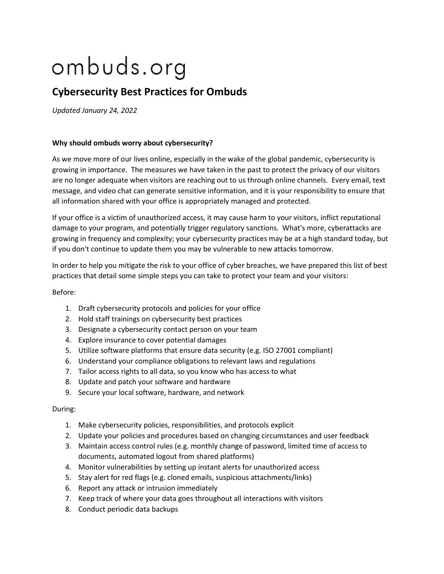# ombuds.org

# **Cybersecurity Best Practices for Ombuds**

*Updated January 24, 2022*

# **Why should ombuds worry about cybersecurity?**

As we move more of our lives online, especially in the wake of the global pandemic, cybersecurity is growing in importance. The measures we have taken in the past to protect the privacy of our visitors are no longer adequate when visitors are reaching out to us through online channels. Every email, text message, and video chat can generate sensitive information, and it is your responsibility to ensure that all information shared with your office is appropriately managed and protected.

If your office is a victim of unauthorized access, it may cause harm to your visitors, inflict reputational damage to your program, and potentially trigger regulatory sanctions. What's more, cyberattacks are growing in frequency and complexity; your cybersecurity practices may be at a high standard today, but if you don't continue to update them you may be vulnerable to new attacks tomorrow.

In order to help you mitigate the risk to your office of cyber breaches, we have prepared this list of best practices that detail some simple steps you can take to protect your team and your visitors:

# Before:

- 1. Draft cybersecurity protocols and policies for your office
- 2. Hold staff trainings on cybersecurity best practices
- 3. Designate a cybersecurity contact person on your team
- 4. Explore insurance to cover potential damages
- 5. Utilize software platforms that ensure data security (e.g. ISO 27001 compliant)
- 6. Understand your compliance obligations to relevant laws and regulations
- 7. Tailor access rights to all data, so you know who has access to what
- 8. Update and patch your software and hardware
- 9. Secure your local software, hardware, and network

# During:

- 1. Make cybersecurity policies, responsibilities, and protocols explicit
- 2. Update your policies and procedures based on changing circumstances and user feedback
- 3. Maintain access control rules (e.g. monthly change of password, limited time of access to documents, automated logout from shared platforms)
- 4. Monitor vulnerabilities by setting up instant alerts for unauthorized access
- 5. Stay alert for red flags (e.g. cloned emails, suspicious attachments/links)
- 6. Report any attack or intrusion immediately
- 7. Keep track of where your data goes throughout all interactions with visitors
- 8. Conduct periodic data backups